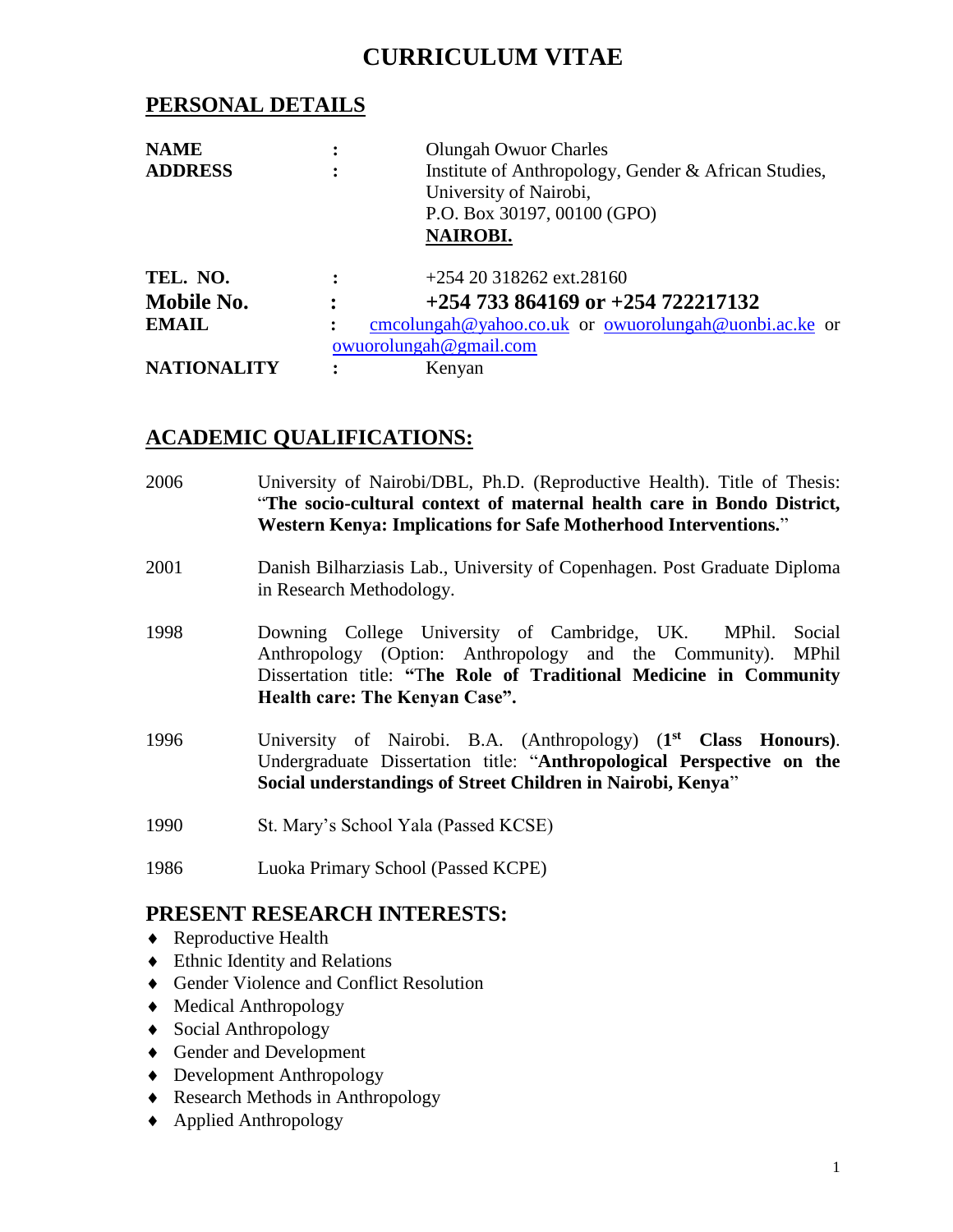# **CURRICULUM VITAE**

# **PERSONAL DETAILS**

| <b>NAME</b>        | <b>Olungah Owuor Charles</b>                         |
|--------------------|------------------------------------------------------|
| <b>ADDRESS</b>     | Institute of Anthropology, Gender & African Studies, |
|                    | University of Nairobi,                               |
|                    | P.O. Box 30197, 00100 (GPO)                          |
|                    | <b>NAIROBI.</b>                                      |
| TEL. NO.           | $+25420318262$ ext. 28160                            |
| Mobile No.         | $+254733864169$ or $+254722217132$                   |
| <b>EMAIL</b>       |                                                      |
|                    | owuorolungah@gmail.com                               |
| <b>NATIONALITY</b> | Kenyan                                               |

# **ACADEMIC QUALIFICATIONS:**

- 2006 University of Nairobi/DBL, Ph.D. (Reproductive Health). Title of Thesis: "**The socio-cultural context of maternal health care in Bondo District, Western Kenya: Implications for Safe Motherhood Interventions.**" 2001 Danish Bilharziasis Lab., University of Copenhagen. Post Graduate Diploma in Research Methodology. 1998 Downing College University of Cambridge, UK. MPhil. Social Anthropology (Option: Anthropology and the Community). MPhil Dissertation title: **"**T**he Role of Traditional Medicine in Community Health care: The Kenyan Case".** 1996 University of Nairobi. B.A. (Anthropology) (**1 st Class Honours)**. Undergraduate Dissertation title: "**Anthropological Perspective on the Social understandings of Street Children in Nairobi, Kenya**" 1990 St. Mary's School Yala (Passed KCSE) 1986 Luoka Primary School (Passed KCPE) **PRESENT RESEARCH INTERESTS:** ◆ Reproductive Health
- Ethnic Identity and Relations
- Gender Violence and Conflict Resolution
- Medical Anthropology
- Social Anthropology
- Gender and Development
- ◆ Development Anthropology
- ◆ Research Methods in Anthropology
- Applied Anthropology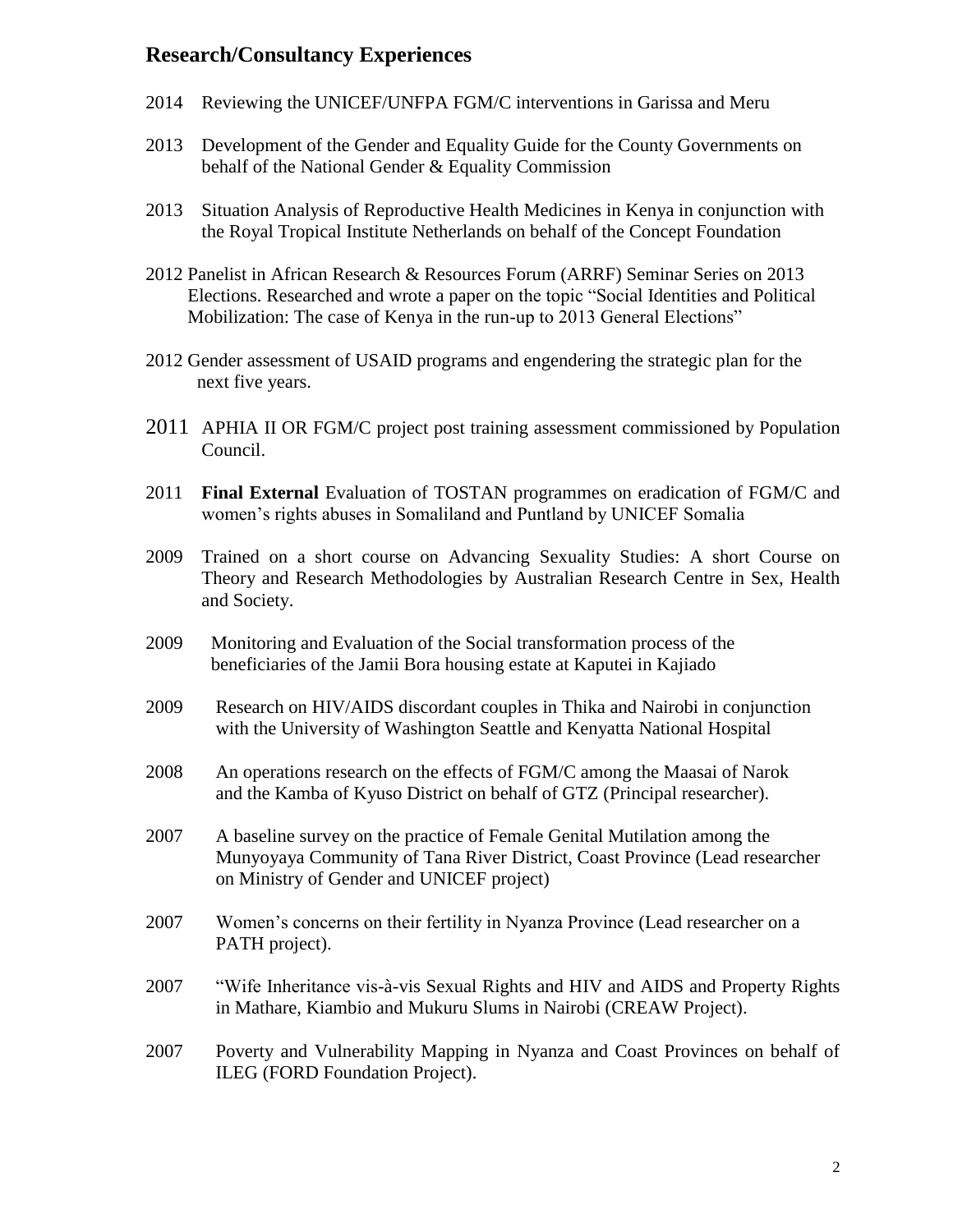# **Research/Consultancy Experiences**

- 2014 Reviewing the UNICEF/UNFPA FGM/C interventions in Garissa and Meru
- 2013 Development of the Gender and Equality Guide for the County Governments on behalf of the National Gender & Equality Commission
- 2013 Situation Analysis of Reproductive Health Medicines in Kenya in conjunction with the Royal Tropical Institute Netherlands on behalf of the Concept Foundation
- 2012 Panelist in African Research & Resources Forum (ARRF) Seminar Series on 2013 Elections. Researched and wrote a paper on the topic "Social Identities and Political Mobilization: The case of Kenya in the run-up to 2013 General Elections"
- 2012 Gender assessment of USAID programs and engendering the strategic plan for the next five years.
- 2011 APHIA II OR FGM/C project post training assessment commissioned by Population Council.
- 2011 **Final External** Evaluation of TOSTAN programmes on eradication of FGM/C and women's rights abuses in Somaliland and Puntland by UNICEF Somalia
- 2009 Trained on a short course on Advancing Sexuality Studies: A short Course on Theory and Research Methodologies by Australian Research Centre in Sex, Health and Society.
- 2009Monitoring and Evaluation of the Social transformation process of the beneficiaries of the Jamii Bora housing estate at Kaputei in Kajiado
- 2009 Research on HIV/AIDS discordant couples in Thika and Nairobi in conjunction with the University of Washington Seattle and Kenyatta National Hospital
- 2008 An operations research on the effects of FGM/C among the Maasai of Narok and the Kamba of Kyuso District on behalf of GTZ (Principal researcher).
- 2007A baseline survey on the practice of Female Genital Mutilation among the Munyoyaya Community of Tana River District, Coast Province (Lead researcher on Ministry of Gender and UNICEF project)
- 2007 Women's concerns on their fertility in Nyanza Province (Lead researcher on a PATH project).
- 2007 "Wife Inheritance vis-à-vis Sexual Rights and HIV and AIDS and Property Rights in Mathare, Kiambio and Mukuru Slums in Nairobi (CREAW Project).
- 2007 Poverty and Vulnerability Mapping in Nyanza and Coast Provinces on behalf of ILEG (FORD Foundation Project).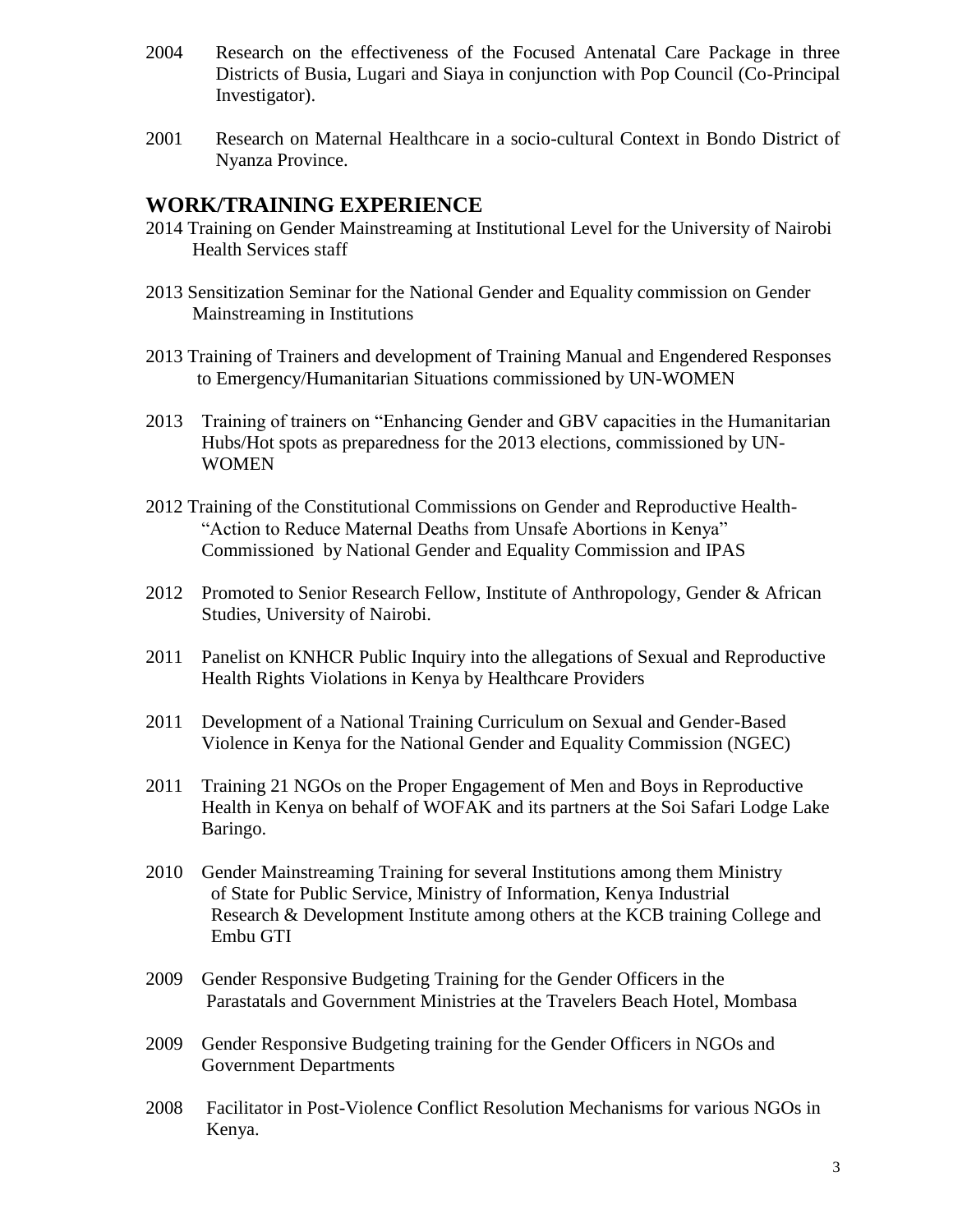- 2004 Research on the effectiveness of the Focused Antenatal Care Package in three Districts of Busia, Lugari and Siaya in conjunction with Pop Council (Co-Principal Investigator).
- 2001 Research on Maternal Healthcare in a socio-cultural Context in Bondo District of Nyanza Province.

# **WORK/TRAINING EXPERIENCE**

- 2014 Training on Gender Mainstreaming at Institutional Level for the University of Nairobi Health Services staff
- 2013 Sensitization Seminar for the National Gender and Equality commission on Gender Mainstreaming in Institutions
- 2013 Training of Trainers and development of Training Manual and Engendered Responses to Emergency/Humanitarian Situations commissioned by UN-WOMEN
- 2013 Training of trainers on "Enhancing Gender and GBV capacities in the Humanitarian Hubs/Hot spots as preparedness for the 2013 elections, commissioned by UN-WOMEN
- 2012 Training of the Constitutional Commissions on Gender and Reproductive Health- "Action to Reduce Maternal Deaths from Unsafe Abortions in Kenya" Commissioned by National Gender and Equality Commission and IPAS
- 2012 Promoted to Senior Research Fellow, Institute of Anthropology, Gender & African Studies, University of Nairobi.
- 2011 Panelist on KNHCR Public Inquiry into the allegations of Sexual and Reproductive Health Rights Violations in Kenya by Healthcare Providers
- 2011 Development of a National Training Curriculum on Sexual and Gender-Based Violence in Kenya for the National Gender and Equality Commission (NGEC)
- 2011 Training 21 NGOs on the Proper Engagement of Men and Boys in Reproductive Health in Kenya on behalf of WOFAK and its partners at the Soi Safari Lodge Lake Baringo.
- 2010 Gender Mainstreaming Training for several Institutions among them Ministry of State for Public Service, Ministry of Information, Kenya Industrial Research & Development Institute among others at the KCB training College and Embu GTI
- 2009 Gender Responsive Budgeting Training for the Gender Officers in the Parastatals and Government Ministries at the Travelers Beach Hotel, Mombasa
- 2009 Gender Responsive Budgeting training for the Gender Officers in NGOs and Government Departments
- 2008 Facilitator in Post-Violence Conflict Resolution Mechanisms for various NGOs in Kenya.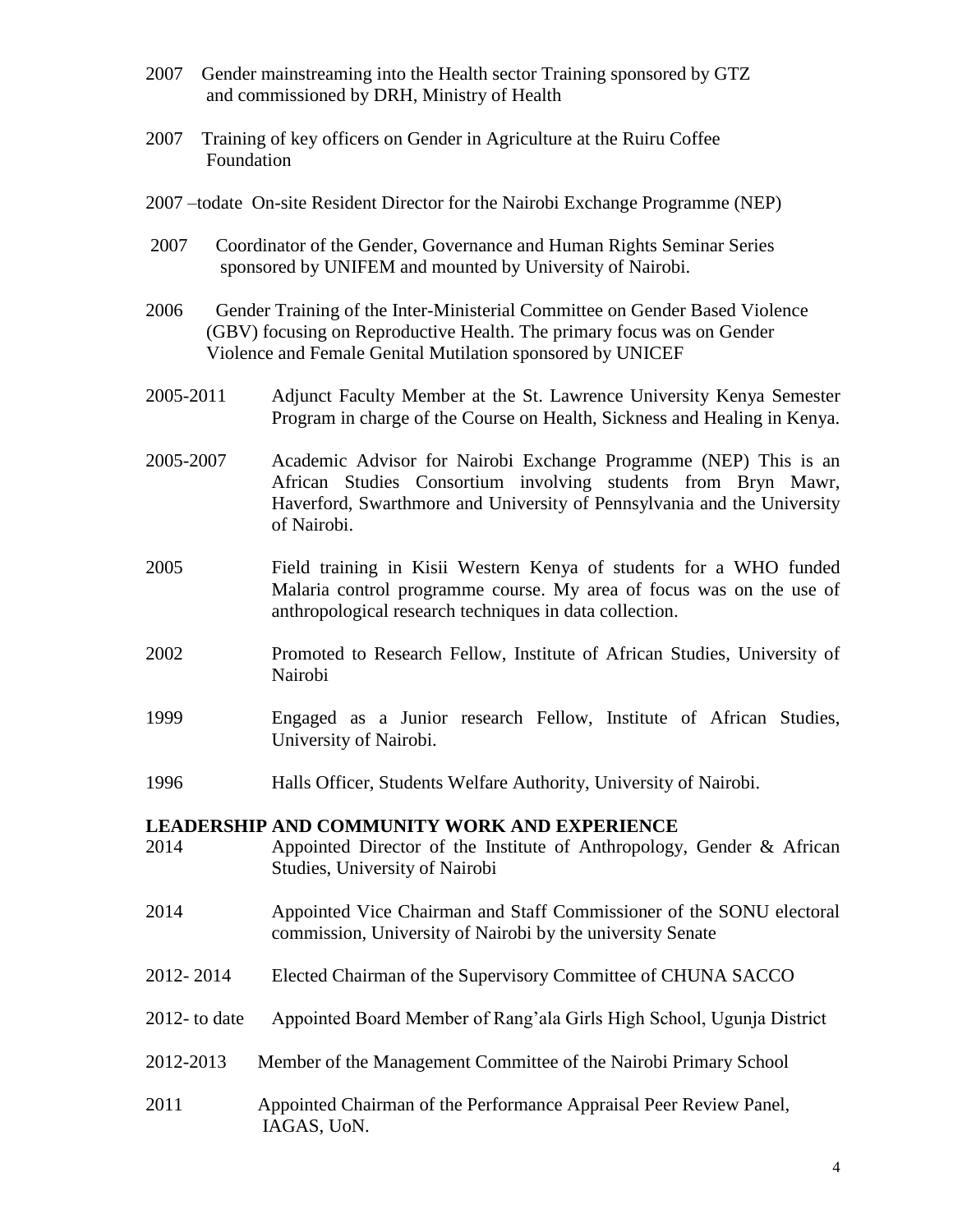- 2007 Gender mainstreaming into the Health sector Training sponsored by GTZ and commissioned by DRH, Ministry of Health
- 2007 Training of key officers on Gender in Agriculture at the Ruiru Coffee Foundation
- 2007 –todate On-site Resident Director for the Nairobi Exchange Programme (NEP)
- 2007 Coordinator of the Gender, Governance and Human Rights Seminar Series sponsored by UNIFEM and mounted by University of Nairobi.
- 2006 Gender Training of the Inter-Ministerial Committee on Gender Based Violence (GBV) focusing on Reproductive Health. The primary focus was on Gender Violence and Female Genital Mutilation sponsored by UNICEF
- 2005-2011 Adjunct Faculty Member at the St. Lawrence University Kenya Semester Program in charge of the Course on Health, Sickness and Healing in Kenya.
- 2005-2007 Academic Advisor for Nairobi Exchange Programme (NEP) This is an African Studies Consortium involving students from Bryn Mawr, Haverford, Swarthmore and University of Pennsylvania and the University of Nairobi.
- 2005 Field training in Kisii Western Kenya of students for a WHO funded Malaria control programme course. My area of focus was on the use of anthropological research techniques in data collection.
- 2002 Promoted to Research Fellow, Institute of African Studies, University of Nairobi
- 1999 Engaged as a Junior research Fellow, Institute of African Studies, University of Nairobi.
- 1996 Halls Officer, Students Welfare Authority, University of Nairobi.

#### **LEADERSHIP AND COMMUNITY WORK AND EXPERIENCE**

- 2014 Appointed Director of the Institute of Anthropology, Gender & African Studies, University of Nairobi
- 2014 Appointed Vice Chairman and Staff Commissioner of the SONU electoral commission, University of Nairobi by the university Senate
- 2012- 2014 Elected Chairman of the Supervisory Committee of CHUNA SACCO
- 2012- to date Appointed Board Member of Rang'ala Girls High School, Ugunja District
- 2012-2013 Member of the Management Committee of the Nairobi Primary School
- 2011 Appointed Chairman of the Performance Appraisal Peer Review Panel, IAGAS, UoN.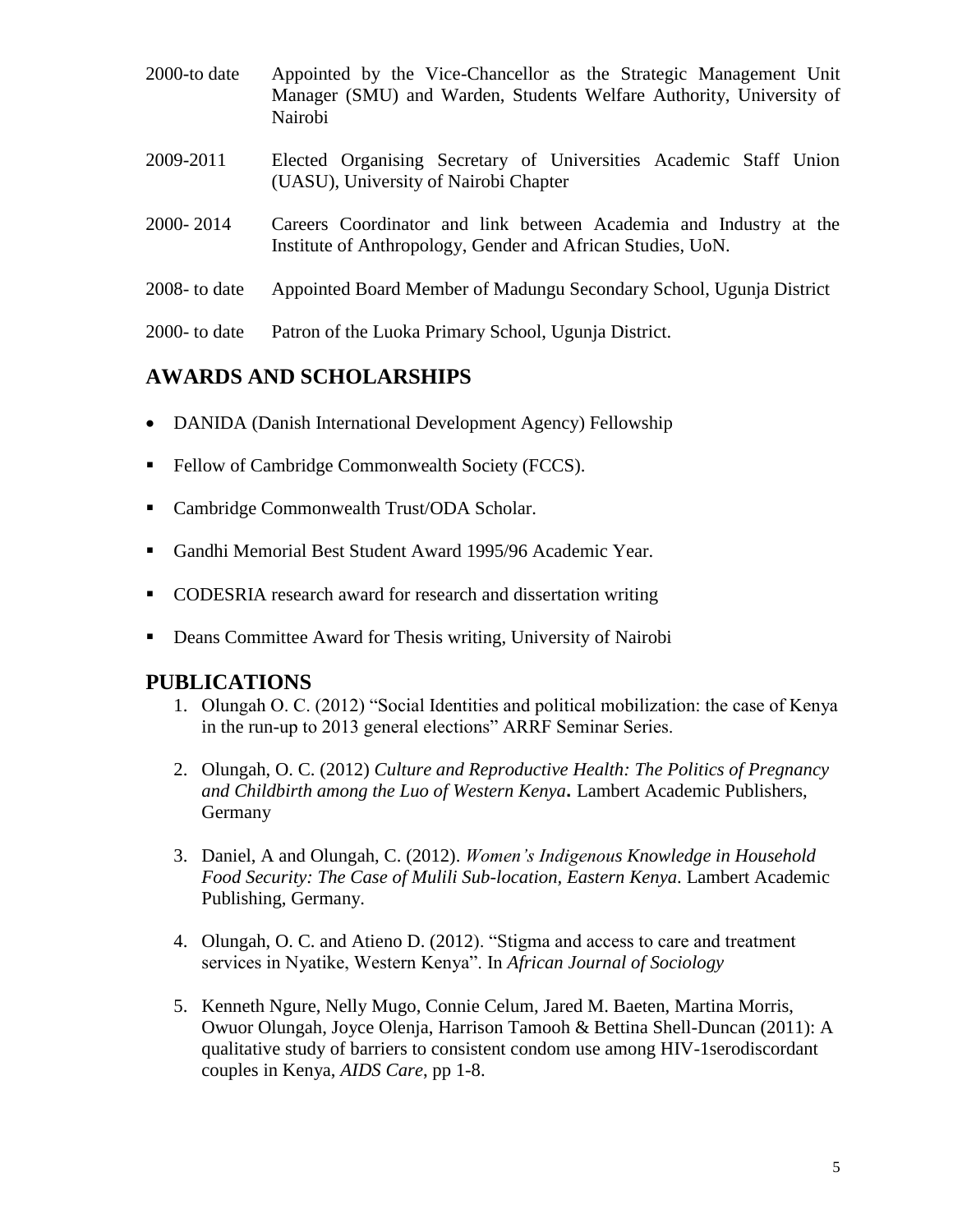- 2000-to date Appointed by the Vice-Chancellor as the Strategic Management Unit Manager (SMU) and Warden, Students Welfare Authority, University of Nairobi
- 2009-2011 Elected Organising Secretary of Universities Academic Staff Union (UASU), University of Nairobi Chapter
- 2000- 2014 Careers Coordinator and link between Academia and Industry at the Institute of Anthropology, Gender and African Studies, UoN.
- 2008- to date Appointed Board Member of Madungu Secondary School, Ugunja District

2000- to date Patron of the Luoka Primary School, Ugunja District.

# **AWARDS AND SCHOLARSHIPS**

- DANIDA (Danish International Development Agency) Fellowship
- Fellow of Cambridge Commonwealth Society (FCCS).
- Cambridge Commonwealth Trust/ODA Scholar.
- Gandhi Memorial Best Student Award 1995/96 Academic Year.
- CODESRIA research award for research and dissertation writing
- Deans Committee Award for Thesis writing, University of Nairobi

# **PUBLICATIONS**

- 1. Olungah O. C. (2012) "Social Identities and political mobilization: the case of Kenya in the run-up to 2013 general elections" ARRF Seminar Series.
- 2. Olungah, O. C. (2012) *Culture and Reproductive Health: The Politics of Pregnancy and Childbirth among the Luo of Western Kenya***.** Lambert Academic Publishers, Germany
- 3. Daniel, A and Olungah, C. (2012). *Women's Indigenous Knowledge in Household Food Security: The Case of Mulili Sub-location, Eastern Kenya*. Lambert Academic Publishing, Germany.
- 4. Olungah, O. C. and Atieno D. (2012). "Stigma and access to care and treatment services in Nyatike, Western Kenya". In *African Journal of Sociology*
- 5. Kenneth Ngure, Nelly Mugo, Connie Celum, Jared M. Baeten, Martina Morris, Owuor Olungah, Joyce Olenja, Harrison Tamooh & Bettina Shell-Duncan (2011): A qualitative study of barriers to consistent condom use among HIV-1serodiscordant couples in Kenya, *AIDS Care*, pp 1-8.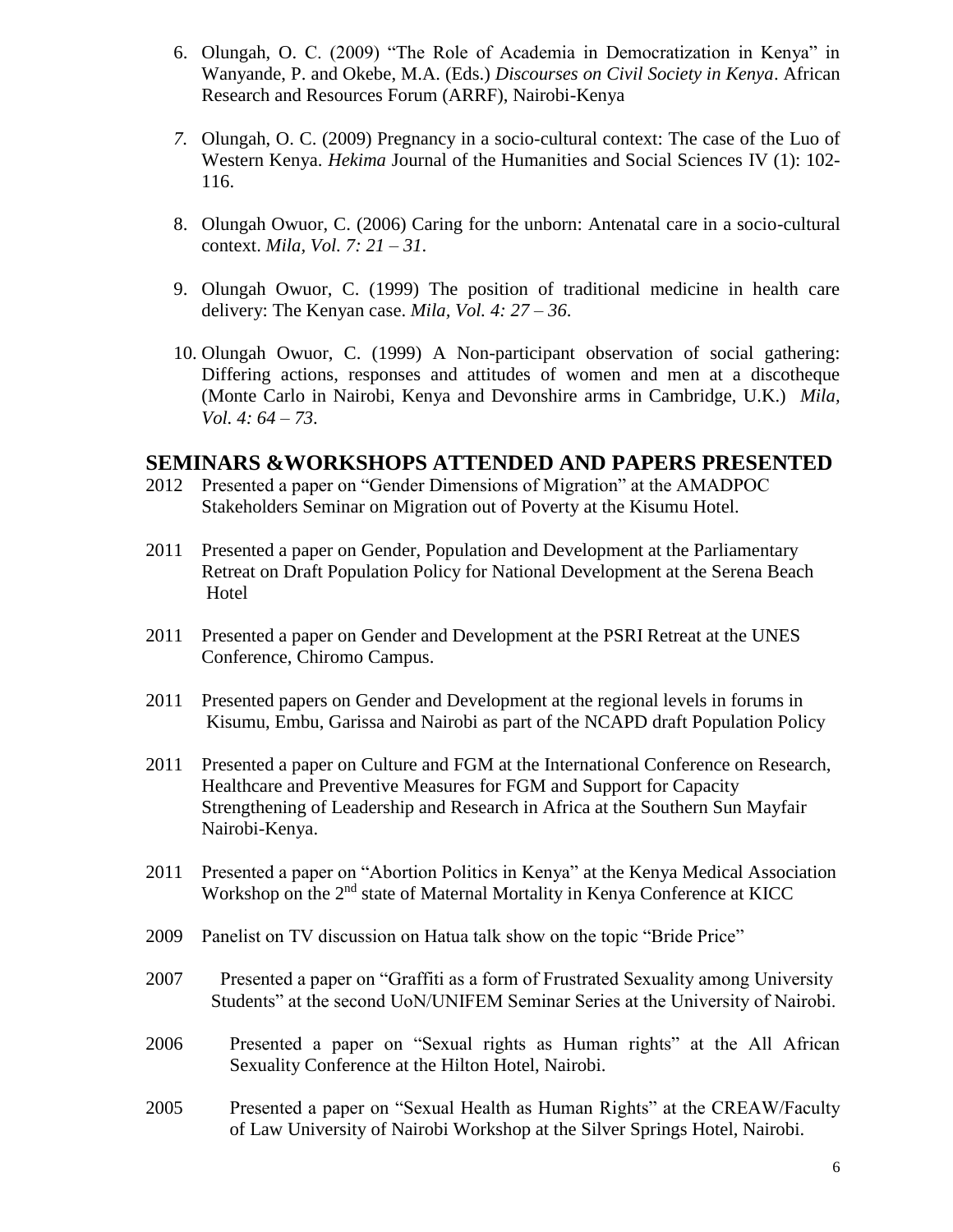- 6. Olungah, O. C. (2009) "The Role of Academia in Democratization in Kenya" in Wanyande, P. and Okebe, M.A. (Eds.) *Discourses on Civil Society in Kenya*. African Research and Resources Forum (ARRF), Nairobi-Kenya
- *7.* Olungah, O. C. (2009) Pregnancy in a socio-cultural context: The case of the Luo of Western Kenya. *Hekima* Journal of the Humanities and Social Sciences IV (1): 102- 116.
- 8. Olungah Owuor, C. (2006) Caring for the unborn: Antenatal care in a socio-cultural context. *Mila, Vol. 7: 21 – 31*.
- 9. Olungah Owuor, C. (1999) The position of traditional medicine in health care delivery: The Kenyan case. *Mila, Vol. 4: 27 – 36*.
- 10. Olungah Owuor, C. (1999) A Non-participant observation of social gathering: Differing actions, responses and attitudes of women and men at a discotheque (Monte Carlo in Nairobi, Kenya and Devonshire arms in Cambridge, U.K.) *Mila, Vol. 4: 64 – 73*.

## **SEMINARS &WORKSHOPS ATTENDED AND PAPERS PRESENTED**

- 2012 Presented a paper on "Gender Dimensions of Migration" at the AMADPOC Stakeholders Seminar on Migration out of Poverty at the Kisumu Hotel.
- 2011 Presented a paper on Gender, Population and Development at the Parliamentary Retreat on Draft Population Policy for National Development at the Serena Beach Hotel
- 2011 Presented a paper on Gender and Development at the PSRI Retreat at the UNES Conference, Chiromo Campus.
- 2011 Presented papers on Gender and Development at the regional levels in forums in Kisumu, Embu, Garissa and Nairobi as part of the NCAPD draft Population Policy
- 2011 Presented a paper on Culture and FGM at the International Conference on Research, Healthcare and Preventive Measures for FGM and Support for Capacity Strengthening of Leadership and Research in Africa at the Southern Sun Mayfair Nairobi-Kenya.
- 2011 Presented a paper on "Abortion Politics in Kenya" at the Kenya Medical Association Workshop on the 2<sup>nd</sup> state of Maternal Mortality in Kenya Conference at KICC
- 2009 Panelist on TV discussion on Hatua talk show on the topic "Bride Price"
- 2007 Presented a paper on "Graffiti as a form of Frustrated Sexuality among University Students" at the second UoN/UNIFEM Seminar Series at the University of Nairobi.
- 2006 Presented a paper on "Sexual rights as Human rights" at the All African Sexuality Conference at the Hilton Hotel, Nairobi.
- 2005 Presented a paper on "Sexual Health as Human Rights" at the CREAW/Faculty of Law University of Nairobi Workshop at the Silver Springs Hotel, Nairobi.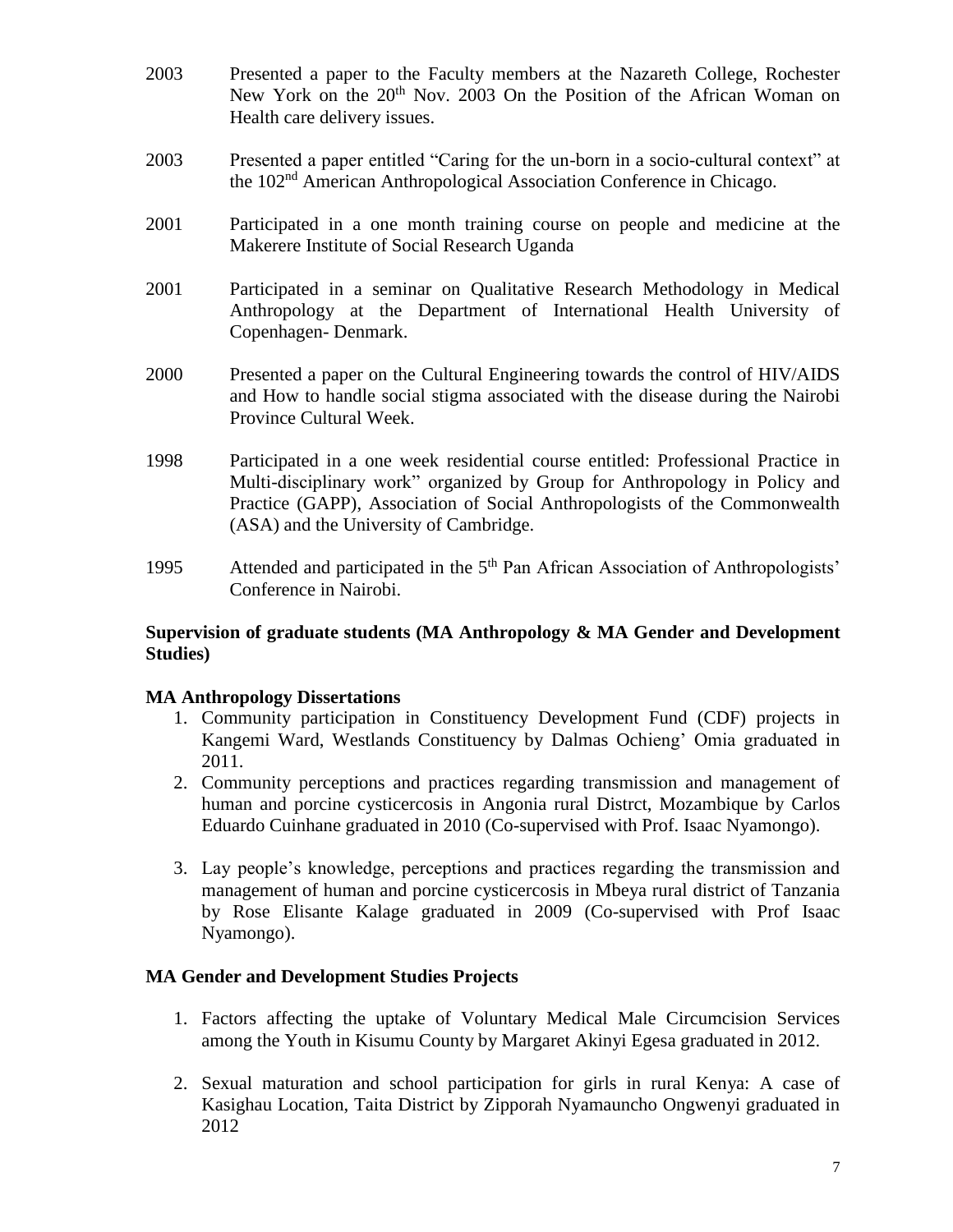- 2003 Presented a paper to the Faculty members at the Nazareth College, Rochester New York on the 20<sup>th</sup> Nov. 2003 On the Position of the African Woman on Health care delivery issues.
- 2003 Presented a paper entitled "Caring for the un-born in a socio-cultural context" at the 102nd American Anthropological Association Conference in Chicago.
- 2001 Participated in a one month training course on people and medicine at the Makerere Institute of Social Research Uganda
- 2001 Participated in a seminar on Qualitative Research Methodology in Medical Anthropology at the Department of International Health University of Copenhagen- Denmark.
- 2000 Presented a paper on the Cultural Engineering towards the control of HIV/AIDS and How to handle social stigma associated with the disease during the Nairobi Province Cultural Week.
- 1998 Participated in a one week residential course entitled: Professional Practice in Multi-disciplinary work" organized by Group for Anthropology in Policy and Practice (GAPP), Association of Social Anthropologists of the Commonwealth (ASA) and the University of Cambridge.
- 1995 Attended and participated in the 5<sup>th</sup> Pan African Association of Anthropologists' Conference in Nairobi.

### **Supervision of graduate students (MA Anthropology & MA Gender and Development Studies)**

#### **MA Anthropology Dissertations**

- 1. Community participation in Constituency Development Fund (CDF) projects in Kangemi Ward, Westlands Constituency by Dalmas Ochieng' Omia graduated in 2011.
- 2. Community perceptions and practices regarding transmission and management of human and porcine cysticercosis in Angonia rural Distrct, Mozambique by Carlos Eduardo Cuinhane graduated in 2010 (Co-supervised with Prof. Isaac Nyamongo).
- 3. Lay people's knowledge, perceptions and practices regarding the transmission and management of human and porcine cysticercosis in Mbeya rural district of Tanzania by Rose Elisante Kalage graduated in 2009 (Co-supervised with Prof Isaac Nyamongo).

#### **MA Gender and Development Studies Projects**

- 1. Factors affecting the uptake of Voluntary Medical Male Circumcision Services among the Youth in Kisumu County by Margaret Akinyi Egesa graduated in 2012.
- 2. Sexual maturation and school participation for girls in rural Kenya: A case of Kasighau Location, Taita District by Zipporah Nyamauncho Ongwenyi graduated in 2012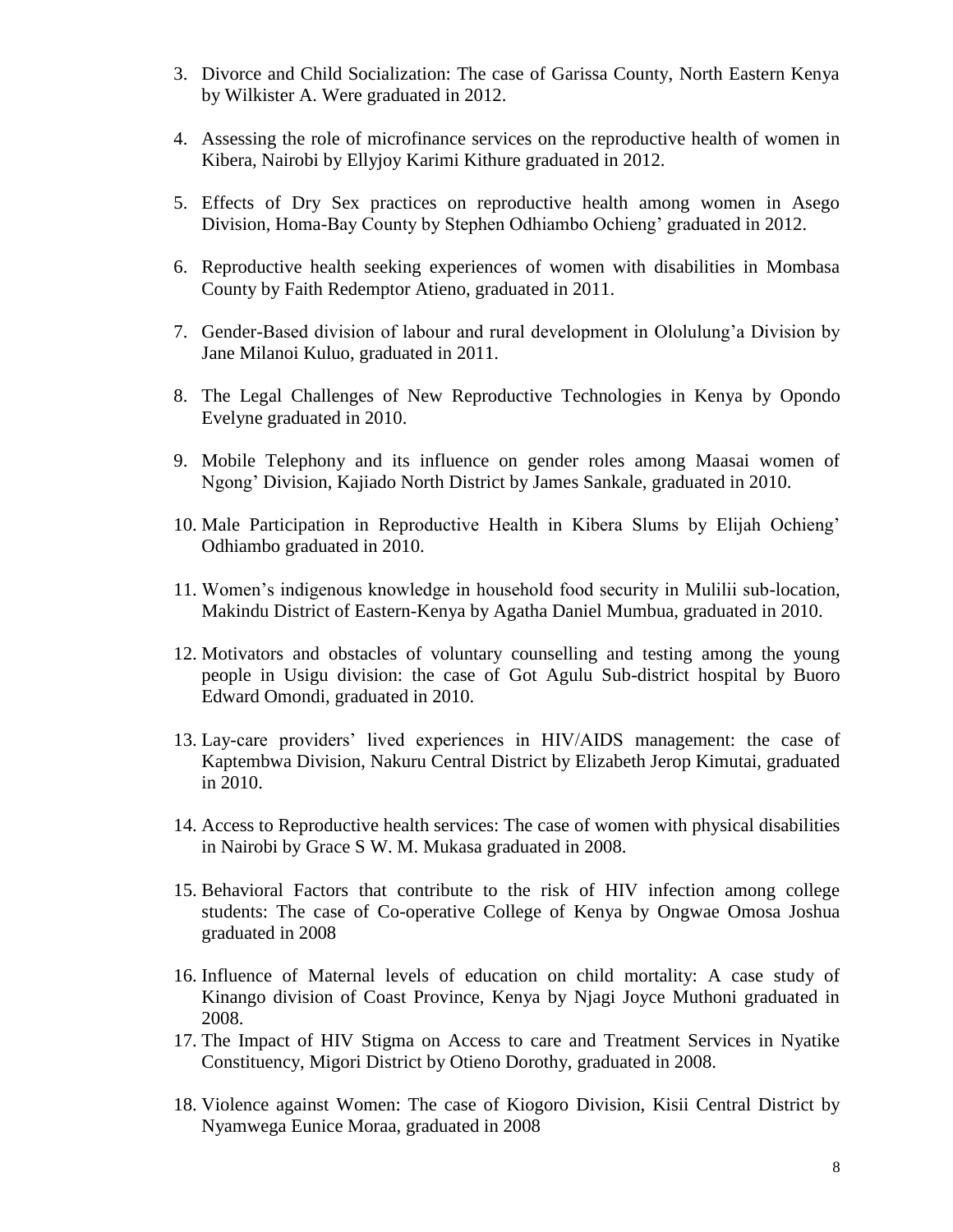- 3. Divorce and Child Socialization: The case of Garissa County, North Eastern Kenya by Wilkister A. Were graduated in 2012.
- 4. Assessing the role of microfinance services on the reproductive health of women in Kibera, Nairobi by Ellyjoy Karimi Kithure graduated in 2012.
- 5. Effects of Dry Sex practices on reproductive health among women in Asego Division, Homa-Bay County by Stephen Odhiambo Ochieng' graduated in 2012.
- 6. Reproductive health seeking experiences of women with disabilities in Mombasa County by Faith Redemptor Atieno, graduated in 2011.
- 7. Gender-Based division of labour and rural development in Ololulung'a Division by Jane Milanoi Kuluo, graduated in 2011.
- 8. The Legal Challenges of New Reproductive Technologies in Kenya by Opondo Evelyne graduated in 2010.
- 9. Mobile Telephony and its influence on gender roles among Maasai women of Ngong' Division, Kajiado North District by James Sankale, graduated in 2010.
- 10. Male Participation in Reproductive Health in Kibera Slums by Elijah Ochieng' Odhiambo graduated in 2010.
- 11. Women's indigenous knowledge in household food security in Mulilii sub-location, Makindu District of Eastern-Kenya by Agatha Daniel Mumbua, graduated in 2010.
- 12. Motivators and obstacles of voluntary counselling and testing among the young people in Usigu division: the case of Got Agulu Sub-district hospital by Buoro Edward Omondi, graduated in 2010.
- 13. Lay-care providers' lived experiences in HIV/AIDS management: the case of Kaptembwa Division, Nakuru Central District by Elizabeth Jerop Kimutai, graduated in 2010.
- 14. Access to Reproductive health services: The case of women with physical disabilities in Nairobi by Grace S W. M. Mukasa graduated in 2008.
- 15. Behavioral Factors that contribute to the risk of HIV infection among college students: The case of Co-operative College of Kenya by Ongwae Omosa Joshua graduated in 2008
- 16. Influence of Maternal levels of education on child mortality: A case study of Kinango division of Coast Province, Kenya by Njagi Joyce Muthoni graduated in 2008.
- 17. The Impact of HIV Stigma on Access to care and Treatment Services in Nyatike Constituency, Migori District by Otieno Dorothy, graduated in 2008.
- 18. Violence against Women: The case of Kiogoro Division, Kisii Central District by Nyamwega Eunice Moraa, graduated in 2008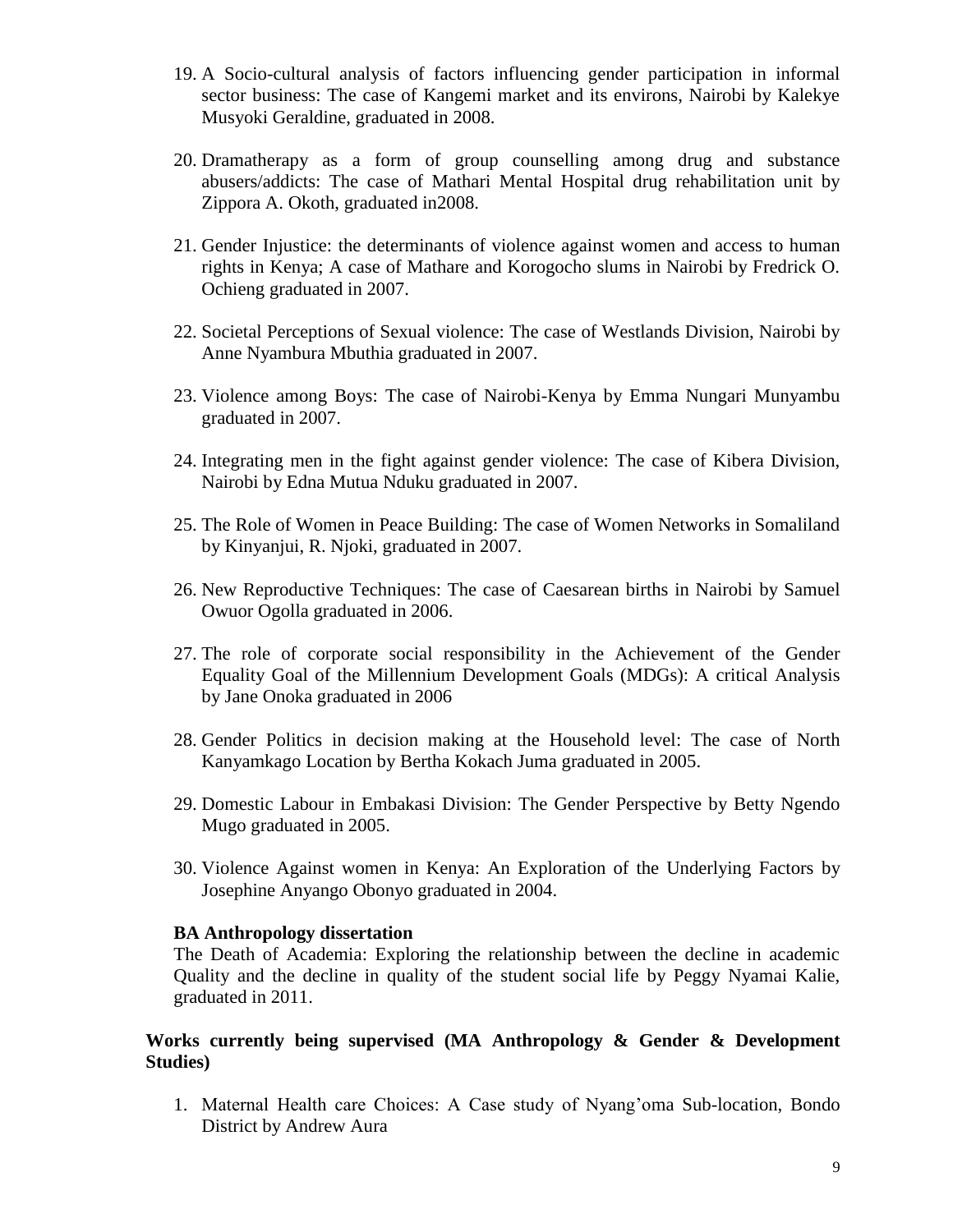- 19. A Socio-cultural analysis of factors influencing gender participation in informal sector business: The case of Kangemi market and its environs, Nairobi by Kalekye Musyoki Geraldine, graduated in 2008.
- 20. Dramatherapy as a form of group counselling among drug and substance abusers/addicts: The case of Mathari Mental Hospital drug rehabilitation unit by Zippora A. Okoth, graduated in2008.
- 21. Gender Injustice: the determinants of violence against women and access to human rights in Kenya; A case of Mathare and Korogocho slums in Nairobi by Fredrick O. Ochieng graduated in 2007.
- 22. Societal Perceptions of Sexual violence: The case of Westlands Division, Nairobi by Anne Nyambura Mbuthia graduated in 2007.
- 23. Violence among Boys: The case of Nairobi-Kenya by Emma Nungari Munyambu graduated in 2007.
- 24. Integrating men in the fight against gender violence: The case of Kibera Division, Nairobi by Edna Mutua Nduku graduated in 2007.
- 25. The Role of Women in Peace Building: The case of Women Networks in Somaliland by Kinyanjui, R. Njoki, graduated in 2007.
- 26. New Reproductive Techniques: The case of Caesarean births in Nairobi by Samuel Owuor Ogolla graduated in 2006.
- 27. The role of corporate social responsibility in the Achievement of the Gender Equality Goal of the Millennium Development Goals (MDGs): A critical Analysis by Jane Onoka graduated in 2006
- 28. Gender Politics in decision making at the Household level: The case of North Kanyamkago Location by Bertha Kokach Juma graduated in 2005.
- 29. Domestic Labour in Embakasi Division: The Gender Perspective by Betty Ngendo Mugo graduated in 2005.
- 30. Violence Against women in Kenya: An Exploration of the Underlying Factors by Josephine Anyango Obonyo graduated in 2004.

#### **BA Anthropology dissertation**

The Death of Academia: Exploring the relationship between the decline in academic Quality and the decline in quality of the student social life by Peggy Nyamai Kalie, graduated in 2011.

### **Works currently being supervised (MA Anthropology & Gender & Development Studies)**

1. Maternal Health care Choices: A Case study of Nyang'oma Sub-location, Bondo District by Andrew Aura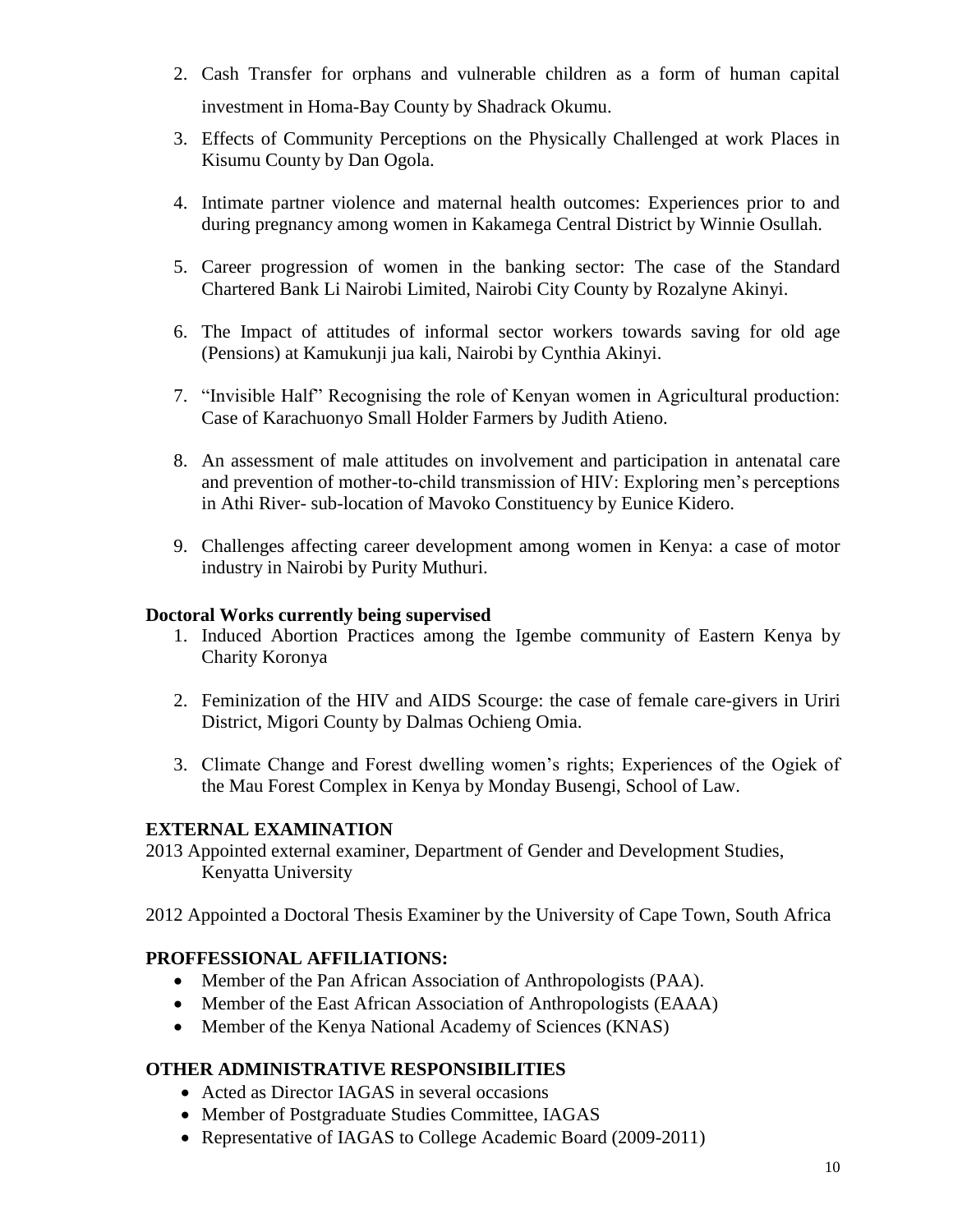- 2. Cash Transfer for orphans and vulnerable children as a form of human capital investment in Homa-Bay County by Shadrack Okumu.
- 3. Effects of Community Perceptions on the Physically Challenged at work Places in Kisumu County by Dan Ogola.
- 4. Intimate partner violence and maternal health outcomes: Experiences prior to and during pregnancy among women in Kakamega Central District by Winnie Osullah.
- 5. Career progression of women in the banking sector: The case of the Standard Chartered Bank Li Nairobi Limited, Nairobi City County by Rozalyne Akinyi.
- 6. The Impact of attitudes of informal sector workers towards saving for old age (Pensions) at Kamukunji jua kali, Nairobi by Cynthia Akinyi.
- 7. "Invisible Half" Recognising the role of Kenyan women in Agricultural production: Case of Karachuonyo Small Holder Farmers by Judith Atieno.
- 8. An assessment of male attitudes on involvement and participation in antenatal care and prevention of mother-to-child transmission of HIV: Exploring men's perceptions in Athi River- sub-location of Mavoko Constituency by Eunice Kidero.
- 9. Challenges affecting career development among women in Kenya: a case of motor industry in Nairobi by Purity Muthuri.

### **Doctoral Works currently being supervised**

- 1. Induced Abortion Practices among the Igembe community of Eastern Kenya by Charity Koronya
- 2. Feminization of the HIV and AIDS Scourge: the case of female care-givers in Uriri District, Migori County by Dalmas Ochieng Omia.
- 3. Climate Change and Forest dwelling women's rights; Experiences of the Ogiek of the Mau Forest Complex in Kenya by Monday Busengi, School of Law.

## **EXTERNAL EXAMINATION**

- 2013 Appointed external examiner, Department of Gender and Development Studies, Kenyatta University
- 2012 Appointed a Doctoral Thesis Examiner by the University of Cape Town, South Africa

## **PROFFESSIONAL AFFILIATIONS:**

- Member of the Pan African Association of Anthropologists (PAA).
- Member of the East African Association of Anthropologists (EAAA)
- Member of the Kenya National Academy of Sciences (KNAS)

## **OTHER ADMINISTRATIVE RESPONSIBILITIES**

- Acted as Director IAGAS in several occasions
- Member of Postgraduate Studies Committee, IAGAS
- Representative of IAGAS to College Academic Board (2009-2011)